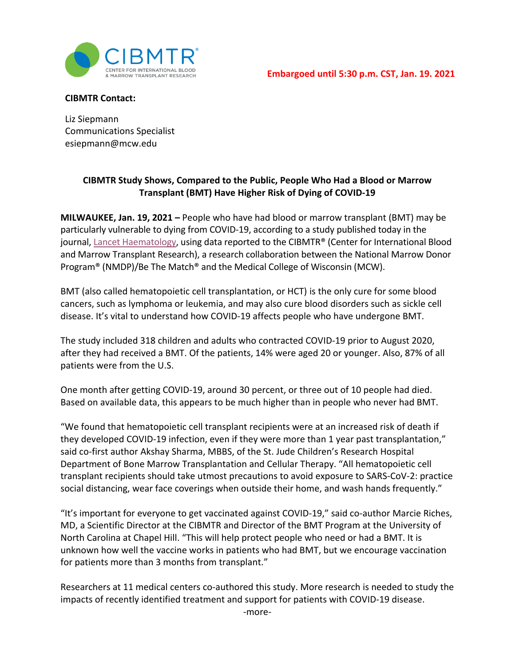

**CIBMTR Contact:**

Liz Siepmann Communications Specialist esiepmann@mcw.edu

## **CIBMTR Study Shows, Compared to the Public, People Who Had a Blood or Marrow Transplant (BMT) Have Higher Risk of Dying of COVID-19**

**MILWAUKEE, Jan. 19, 2021 –** People who have had blood or marrow transplant (BMT) may be particularly vulnerable to dying from COVID-19, according to a study published today in the journal, [Lancet Haematology,](https://www.thelancet.com/journals/lanhae/article/PIIS2352-3026(20)30429-4/fulltext) using data reported to the CIBMTR® (Center for International Blood and Marrow Transplant Research), a research collaboration between the National Marrow Donor Program® (NMDP)/Be The Match® and the Medical College of Wisconsin (MCW).

BMT (also called hematopoietic cell transplantation, or HCT) is the only cure for some blood cancers, such as lymphoma or leukemia, and may also cure blood disorders such as sickle cell disease. It's vital to understand how COVID-19 affects people who have undergone BMT.

The study included 318 children and adults who contracted COVID-19 prior to August 2020, after they had received a BMT. Of the patients, 14% were aged 20 or younger. Also, 87% of all patients were from the U.S.

One month after getting COVID-19, around 30 percent, or three out of 10 people had died. Based on available data, this appears to be much higher than in people who never had BMT.

"We found that hematopoietic cell transplant recipients were at an increased risk of death if they developed COVID-19 infection, even if they were more than 1 year past transplantation," said co-first author Akshay Sharma, MBBS, of the St. Jude Children's Research Hospital Department of Bone Marrow Transplantation and Cellular Therapy. "All hematopoietic cell transplant recipients should take utmost precautions to avoid exposure to SARS-CoV-2: practice social distancing, wear face coverings when outside their home, and wash hands frequently."

"It's important for everyone to get vaccinated against COVID-19," said co-author Marcie Riches, MD, a Scientific Director at the CIBMTR and Director of the BMT Program at the University of North Carolina at Chapel Hill. "This will help protect people who need or had a BMT. It is unknown how well the vaccine works in patients who had BMT, but we encourage vaccination for patients more than 3 months from transplant."

Researchers at 11 medical centers co-authored this study. More research is needed to study the impacts of recently identified treatment and support for patients with COVID-19 disease.